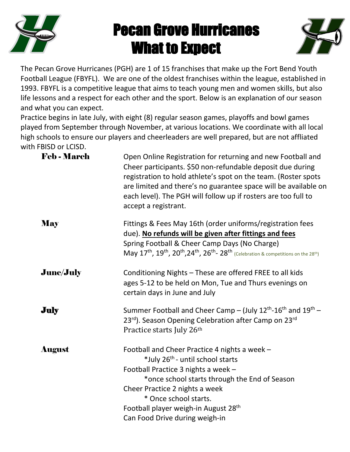

# Pecan Grove Hurricanes What to Expect



The Pecan Grove Hurricanes (PGH) are 1 of 15 franchises that make up the Fort Bend Youth Football League (FBYFL). We are one of the oldest franchises within the league, established in 1993. FBYFL is a competitive league that aims to teach young men and women skills, but also life lessons and a respect for each other and the sport. Below is an explanation of our season and what you can expect.

Practice begins in late July, with eight (8) regular season games, playoffs and bowl games played from September through November, at various locations. We coordinate with all local high schools to ensure our players and cheerleaders are well prepared, but are not affliated with FBISD or LCISD.

| <b>Feb - March</b> | Open Online Registration for returning and new Football and<br>Cheer participants. \$50 non-refundable deposit due during<br>registration to hold athlete's spot on the team. (Roster spots<br>are limited and there's no guarantee space will be available on<br>each level). The PGH will follow up if rosters are too full to<br>accept a registrant. |
|--------------------|----------------------------------------------------------------------------------------------------------------------------------------------------------------------------------------------------------------------------------------------------------------------------------------------------------------------------------------------------------|
| <b>May</b>         | Fittings & Fees May 16th (order uniforms/registration fees<br>due). No refunds will be given after fittings and fees<br>Spring Football & Cheer Camp Days (No Charge)<br>May 17 <sup>th</sup> , 19 <sup>th</sup> , 20 <sup>th</sup> , 24 <sup>th</sup> , 26 <sup>th</sup> - 28 <sup>th</sup> (Celebration & competitions on the 28 <sup>th</sup> )       |
| <b>June/July</b>   | Conditioning Nights - These are offered FREE to all kids<br>ages 5-12 to be held on Mon, Tue and Thurs evenings on<br>certain days in June and July                                                                                                                                                                                                      |
| July               | Summer Football and Cheer Camp – (July $12^{th}$ -16 <sup>th</sup> and $19^{th}$ –<br>23rd). Season Opening Celebration after Camp on 23rd<br>Practice starts July 26th                                                                                                                                                                                  |
| <b>August</b>      | Football and Cheer Practice 4 nights a week -<br>*July 26 <sup>th</sup> - until school starts<br>Football Practice 3 nights a week -<br>*once school starts through the End of Season<br>Cheer Practice 2 nights a week<br>* Once school starts.<br>Football player weigh-in August 28 <sup>th</sup><br>Can Food Drive during weigh-in                   |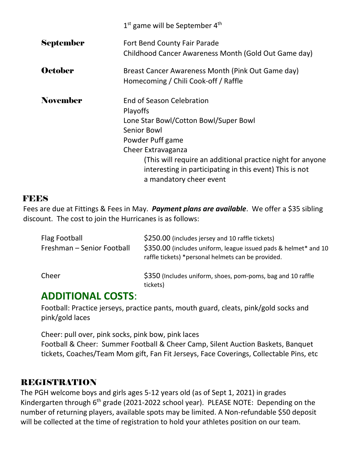|                  | $1st$ game will be September $4th$                                                                                                                                                                                                                                                                        |
|------------------|-----------------------------------------------------------------------------------------------------------------------------------------------------------------------------------------------------------------------------------------------------------------------------------------------------------|
| <b>September</b> | Fort Bend County Fair Parade<br>Childhood Cancer Awareness Month (Gold Out Game day)                                                                                                                                                                                                                      |
| <b>October</b>   | Breast Cancer Awareness Month (Pink Out Game day)<br>Homecoming / Chili Cook-off / Raffle                                                                                                                                                                                                                 |
| <b>November</b>  | <b>End of Season Celebration</b><br><b>Playoffs</b><br>Lone Star Bowl/Cotton Bowl/Super Bowl<br>Senior Bowl<br>Powder Puff game<br>Cheer Extravaganza<br>(This will require an additional practice night for anyone<br>interesting in participating in this event) This is not<br>a mandatory cheer event |

#### **FEES**

Fees are due at Fittings & Fees in May. *Payment plans are available*. We offer a \$35 sibling discount. The cost to join the Hurricanes is as follows:

| Flag Football<br>Freshman - Senior Football | \$250.00 (includes jersey and 10 raffle tickets)<br>\$350.00 (includes uniform, league issued pads & helmet* and 10<br>raffle tickets) *personal helmets can be provided. |
|---------------------------------------------|---------------------------------------------------------------------------------------------------------------------------------------------------------------------------|
| Cheer                                       | \$350 (Includes uniform, shoes, pom-poms, bag and 10 raffle<br>tickets)                                                                                                   |

#### **ADDITIONAL COSTS**:

Football: Practice jerseys, practice pants, mouth guard, cleats, pink/gold socks and pink/gold laces

Cheer: pull over, pink socks, pink bow, pink laces Football & Cheer: Summer Football & Cheer Camp, Silent Auction Baskets, Banquet tickets, Coaches/Team Mom gift, Fan Fit Jerseys, Face Coverings, Collectable Pins, etc

#### REGISTRATION

The PGH welcome boys and girls ages 5-12 years old (as of Sept 1, 2021) in grades Kindergarten through 6<sup>th</sup> grade (2021-2022 school year). PLEASE NOTE: Depending on the number of returning players, available spots may be limited. A Non-refundable \$50 deposit will be collected at the time of registration to hold your athletes position on our team.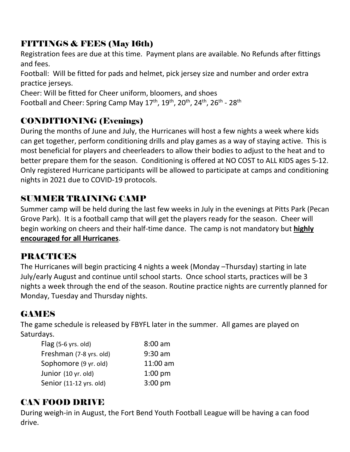## FITTINGS & FEES (May 16th)

Registration fees are due at this time. Payment plans are available. No Refunds after fittings and fees.

Football: Will be fitted for pads and helmet, pick jersey size and number and order extra practice jerseys.

Cheer: Will be fitted for Cheer uniform, bloomers, and shoes

Football and Cheer: Spring Camp May 17<sup>th</sup>, 19<sup>th</sup>, 20<sup>th</sup>, 24<sup>th</sup>, 26<sup>th</sup> - 28<sup>th</sup>

#### CONDITIONING (Evenings)

During the months of June and July, the Hurricanes will host a few nights a week where kids can get together, perform conditioning drills and play games as a way of staying active. This is most beneficial for players and cheerleaders to allow their bodies to adjust to the heat and to better prepare them for the season. Conditioning is offered at NO COST to ALL KIDS ages 5-12. Only registered Hurricane participants will be allowed to participate at camps and conditioning nights in 2021 due to COVID-19 protocols.

#### SUMMER TRAINING CAMP

Summer camp will be held during the last few weeks in July in the evenings at Pitts Park (Pecan Grove Park). It is a football camp that will get the players ready for the season. Cheer will begin working on cheers and their half-time dance. The camp is not mandatory but **highly encouraged for all Hurricanes**.

### PRACTICES

The Hurricanes will begin practicing 4 nights a week (Monday –Thursday) starting in late July/early August and continue until school starts. Once school starts, practices will be 3 nights a week through the end of the season. Routine practice nights are currently planned for Monday, Tuesday and Thursday nights.

### **GAMES**

The game schedule is released by FBYFL later in the summer. All games are played on Saturdays.

| $8:00$ am |
|-----------|
| $9:30$ am |
| 11:00 am  |
| $1:00$ pm |
| $3:00$ pm |
|           |

# CAN FOOD DRIVE

During weigh-in in August, the Fort Bend Youth Football League will be having a can food drive.